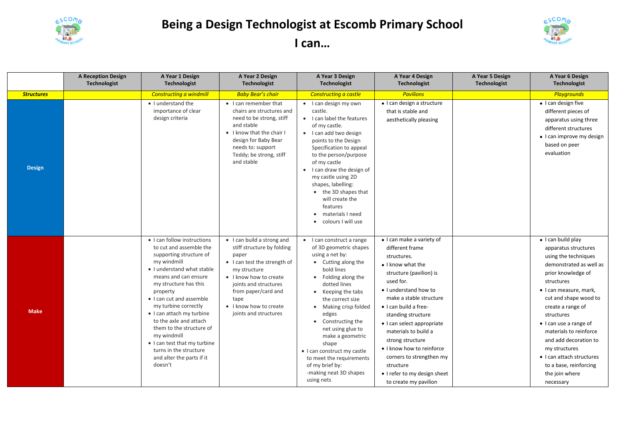

## **Being a Design Technologist at Escomb Primary School I can…**



|                   | <b>A Reception Design</b><br><b>Technologist</b> | A Year 1 Design<br>Technologist                                                                                                                                                                                                                                                                                                                                                                                                                     | A Year 2 Design<br><b>Technologist</b>                                                                                                                                                                                                                 | A Year 3 Design<br><b>Technologist</b>                                                                                                                                                                                                                                                                                                                                                                                   | A Year 4 Design<br><b>Technologist</b>                                                                                                                                                                                                                                                                                                                                                                                               | A Year 5 Design<br><b>Technologist</b> | A Year 6 Design<br>Technologist                                                                                                                                                                                                                                                                                                                                                                                     |
|-------------------|--------------------------------------------------|-----------------------------------------------------------------------------------------------------------------------------------------------------------------------------------------------------------------------------------------------------------------------------------------------------------------------------------------------------------------------------------------------------------------------------------------------------|--------------------------------------------------------------------------------------------------------------------------------------------------------------------------------------------------------------------------------------------------------|--------------------------------------------------------------------------------------------------------------------------------------------------------------------------------------------------------------------------------------------------------------------------------------------------------------------------------------------------------------------------------------------------------------------------|--------------------------------------------------------------------------------------------------------------------------------------------------------------------------------------------------------------------------------------------------------------------------------------------------------------------------------------------------------------------------------------------------------------------------------------|----------------------------------------|---------------------------------------------------------------------------------------------------------------------------------------------------------------------------------------------------------------------------------------------------------------------------------------------------------------------------------------------------------------------------------------------------------------------|
| <b>Structures</b> |                                                  | <b>Constructing a windmill</b>                                                                                                                                                                                                                                                                                                                                                                                                                      | <b>Baby Bear's chair</b>                                                                                                                                                                                                                               | Constructing a castle                                                                                                                                                                                                                                                                                                                                                                                                    | <b>Pavilions</b>                                                                                                                                                                                                                                                                                                                                                                                                                     |                                        | <b>Playgrounds</b>                                                                                                                                                                                                                                                                                                                                                                                                  |
| <b>Design</b>     |                                                  | • I understand the<br>importance of clear<br>design criteria                                                                                                                                                                                                                                                                                                                                                                                        | • I can remember that<br>chairs are structures and<br>need to be strong, stiff<br>and stable<br>• I know that the chair I<br>design for Baby Bear<br>needs to: support<br>Teddy; be strong, stiff<br>and stable                                        | • I can design my own<br>castle.<br>• I can label the features<br>of my castle.<br>• I can add two design<br>points to the Design<br>Specification to appeal<br>to the person/purpose<br>of my castle<br>I can draw the design of<br>$\bullet$<br>my castle using 2D<br>shapes, labelling:<br>• the 3D shapes that<br>will create the<br>features<br>materials I need<br>colours I will use<br>$\bullet$                 | · I can design a structure<br>that is stable and<br>aesthetically pleasing                                                                                                                                                                                                                                                                                                                                                           |                                        | • I can design five<br>different pieces of<br>apparatus using three<br>different structures<br>• I can improve my design<br>based on peer<br>evaluation                                                                                                                                                                                                                                                             |
| <b>Make</b>       |                                                  | • I can follow instructions<br>to cut and assemble the<br>supporting structure of<br>my windmill<br>• I understand what stable<br>means and can ensure<br>my structure has this<br>property<br>• I can cut and assemble<br>my turbine correctly<br>• I can attach my turbine<br>to the axle and attach<br>them to the structure of<br>my windmill<br>• I can test that my turbine<br>turns in the structure<br>and alter the parts if it<br>doesn't | • I can build a strong and<br>stiff structure by folding<br>paper<br>• I can test the strength of<br>my structure<br>• I know how to create<br>joints and structures<br>from paper/card and<br>tape<br>• I know how to create<br>joints and structures | I can construct a range<br>of 3D geometric shapes<br>using a net by:<br>• Cutting along the<br>bold lines<br>• Folding along the<br>dotted lines<br>• Keeping the tabs<br>the correct size<br>Making crisp folded<br>edges<br>• Constructing the<br>net using glue to<br>make a geometric<br>shape<br>• I can construct my castle<br>to meet the requirements<br>of my brief by:<br>-making neat 3D shapes<br>using nets | • I can make a variety of<br>different frame<br>structures.<br>• I know what the<br>structure (pavilion) is<br>used for.<br>• I understand how to<br>make a stable structure<br>• I can build a free-<br>standing structure<br>• I can select appropriate<br>materials to build a<br>strong structure<br>• I know how to reinforce<br>corners to strengthen my<br>structure<br>• I refer to my design sheet<br>to create my pavilion |                                        | $\bullet$ I can build play<br>apparatus structures<br>using the techniques<br>demonstrated as well as<br>prior knowledge of<br>structures<br>• I can measure, mark,<br>cut and shape wood to<br>create a range of<br>structures<br>• I can use a range of<br>materials to reinforce<br>and add decoration to<br>my structures<br>• I can attach structures<br>to a base, reinforcing<br>the join where<br>necessary |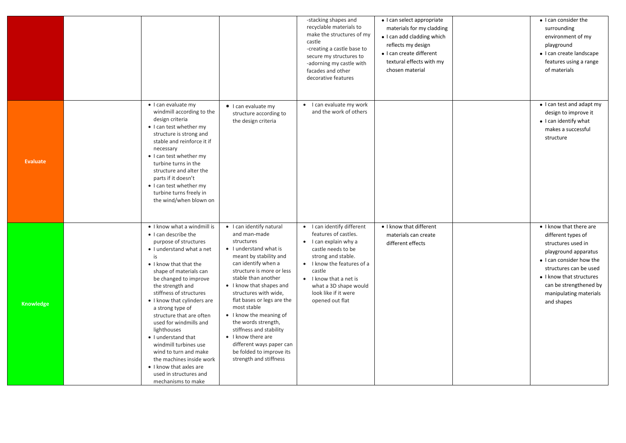|                  |                                                                                                                                                                                                                                                                                                                                                                                                                                                                                                                                                     |                                                                                                                                                                                                                                                                                                                                                                                                                                                                              | -stacking shapes and<br>recyclable materials to<br>make the structures of my<br>castle<br>-creating a castle base to<br>secure my structures to<br>-adorning my castle with<br>facades and other<br>decorative features                                               | · I can select appropriate<br>materials for my cladding<br>• I can add cladding which<br>reflects my design<br>• I can create different<br>textural effects with my<br>chosen material | • I can consider the<br>surrounding<br>environment of my<br>playground<br>• I can create landscape<br>features using a range<br>of materials                                                                                                    |
|------------------|-----------------------------------------------------------------------------------------------------------------------------------------------------------------------------------------------------------------------------------------------------------------------------------------------------------------------------------------------------------------------------------------------------------------------------------------------------------------------------------------------------------------------------------------------------|------------------------------------------------------------------------------------------------------------------------------------------------------------------------------------------------------------------------------------------------------------------------------------------------------------------------------------------------------------------------------------------------------------------------------------------------------------------------------|-----------------------------------------------------------------------------------------------------------------------------------------------------------------------------------------------------------------------------------------------------------------------|----------------------------------------------------------------------------------------------------------------------------------------------------------------------------------------|-------------------------------------------------------------------------------------------------------------------------------------------------------------------------------------------------------------------------------------------------|
| <b>Evaluate</b>  | · I can evaluate my<br>windmill according to the<br>design criteria<br>• I can test whether my<br>structure is strong and<br>stable and reinforce it if<br>necessary<br>• I can test whether my<br>turbine turns in the<br>structure and alter the<br>parts if it doesn't<br>• I can test whether my<br>turbine turns freely in<br>the wind/when blown on                                                                                                                                                                                           | • I can evaluate my<br>structure according to<br>the design criteria                                                                                                                                                                                                                                                                                                                                                                                                         | • I can evaluate my work<br>and the work of others                                                                                                                                                                                                                    |                                                                                                                                                                                        | • I can test and adapt my<br>design to improve it<br>• I can identify what<br>makes a successful<br>structure                                                                                                                                   |
| <b>Knowledge</b> | • I know what a windmill is<br>• I can describe the<br>purpose of structures<br>• I understand what a net<br>is<br>• I know that that the<br>shape of materials can<br>be changed to improve<br>the strength and<br>stiffness of structures<br>• I know that cylinders are<br>a strong type of<br>structure that are often<br>used for windmills and<br>lighthouses<br>• I understand that<br>windmill turbines use<br>wind to turn and make<br>the machines inside work<br>• I know that axles are<br>used in structures and<br>mechanisms to make | • I can identify natural<br>and man-made<br>structures<br>• I understand what is<br>meant by stability and<br>can identify when a<br>structure is more or less<br>stable than another<br>• I know that shapes and<br>structures with wide,<br>flat bases or legs are the<br>most stable<br>• I know the meaning of<br>the words strength,<br>stiffness and stability<br>• I know there are<br>different ways paper can<br>be folded to improve its<br>strength and stiffness | • I can identify different<br>features of castles.<br>$\bullet$ I can explain why a<br>castle needs to be<br>strong and stable.<br>• I know the features of a<br>castle<br>• I know that a net is<br>what a 3D shape would<br>look like if it were<br>opened out flat | • I know that different<br>materials can create<br>different effects                                                                                                                   | • I know that there are<br>different types of<br>structures used in<br>playground apparatus<br>• I can consider how the<br>structures can be used<br>• I know that structures<br>can be strengthened by<br>manipulating materials<br>and shapes |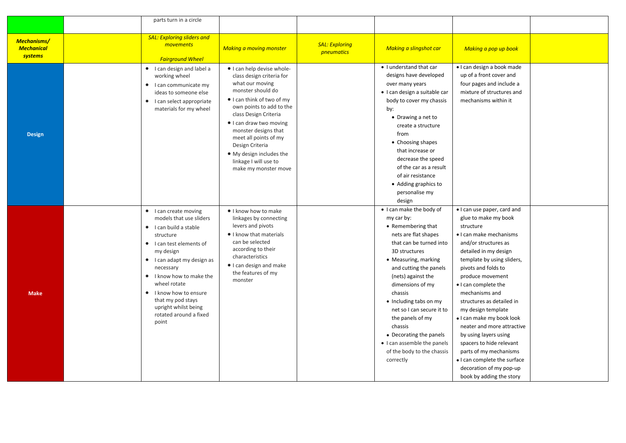|                                                    | parts turn in a circle                                                                                                                                                                                                                                                                                                            |                                                                                                                                                                                                                                                                                                                                                                |                                            |                                                                                                                                                                                                                                                                                                                                                                                                                                    |                                                                                                                                                                                                                                                                                                                                                                                                                                                                                                                                                     |  |
|----------------------------------------------------|-----------------------------------------------------------------------------------------------------------------------------------------------------------------------------------------------------------------------------------------------------------------------------------------------------------------------------------|----------------------------------------------------------------------------------------------------------------------------------------------------------------------------------------------------------------------------------------------------------------------------------------------------------------------------------------------------------------|--------------------------------------------|------------------------------------------------------------------------------------------------------------------------------------------------------------------------------------------------------------------------------------------------------------------------------------------------------------------------------------------------------------------------------------------------------------------------------------|-----------------------------------------------------------------------------------------------------------------------------------------------------------------------------------------------------------------------------------------------------------------------------------------------------------------------------------------------------------------------------------------------------------------------------------------------------------------------------------------------------------------------------------------------------|--|
|                                                    |                                                                                                                                                                                                                                                                                                                                   |                                                                                                                                                                                                                                                                                                                                                                |                                            |                                                                                                                                                                                                                                                                                                                                                                                                                                    |                                                                                                                                                                                                                                                                                                                                                                                                                                                                                                                                                     |  |
| <b>Mechanisms/</b><br><b>Mechanical</b><br>systems | <b>SAL: Exploring sliders and</b><br>movements<br><b>Fairground Wheel</b>                                                                                                                                                                                                                                                         | <b>Making a moving monster</b>                                                                                                                                                                                                                                                                                                                                 | <b>SAL: Exploring</b><br><i>pneumatics</i> | Making a slingshot car                                                                                                                                                                                                                                                                                                                                                                                                             | Making a pop up book                                                                                                                                                                                                                                                                                                                                                                                                                                                                                                                                |  |
| <b>Design</b>                                      | • I can design and label a<br>working wheel<br>• I can communicate my<br>ideas to someone else<br>• I can select appropriate<br>materials for my wheel                                                                                                                                                                            | • I can help devise whole-<br>class design criteria for<br>what our moving<br>monster should do<br>• I can think of two of my<br>own points to add to the<br>class Design Criteria<br>• I can draw two moving<br>monster designs that<br>meet all points of my<br>Design Criteria<br>• My design includes the<br>linkage I will use to<br>make my monster move |                                            | • I understand that car<br>designs have developed<br>over many years<br>· I can design a suitable car<br>body to cover my chassis<br>by:<br>• Drawing a net to<br>create a structure<br>from<br>• Choosing shapes<br>that increase or<br>decrease the speed<br>of the car as a result<br>of air resistance<br>• Adding graphics to<br>personalise my<br>design                                                                     | · I can design a book made<br>up of a front cover and<br>four pages and include a<br>mixture of structures and<br>mechanisms within it                                                                                                                                                                                                                                                                                                                                                                                                              |  |
| <b>Make</b>                                        | • I can create moving<br>models that use sliders<br>• I can build a stable<br>structure<br>• I can test elements of<br>my design<br>• I can adapt my design as<br>necessary<br>• I know how to make the<br>wheel rotate<br>• I know how to ensure<br>that my pod stays<br>upright whilst being<br>rotated around a fixed<br>point | I know how to make<br>linkages by connecting<br>levers and pivots<br>I know that materials<br>can be selected<br>according to their<br>characteristics<br>• I can design and make<br>the features of my<br>monster                                                                                                                                             |                                            | . I can make the body of<br>my car by:<br>• Remembering that<br>nets are flat shapes<br>that can be turned into<br>3D structures<br>• Measuring, marking<br>and cutting the panels<br>(nets) against the<br>dimensions of my<br>chassis<br>• Including tabs on my<br>net so I can secure it to<br>the panels of my<br>chassis<br>• Decorating the panels<br>• I can assemble the panels<br>of the body to the chassis<br>correctly | . I can use paper, card and<br>glue to make my book<br>structure<br>• I can make mechanisms<br>and/or structures as<br>detailed in my design<br>template by using sliders,<br>pivots and folds to<br>produce movement<br>• I can complete the<br>mechanisms and<br>structures as detailed in<br>my design template<br>. I can make my book look<br>neater and more attractive<br>by using layers using<br>spacers to hide relevant<br>parts of my mechanisms<br>• I can complete the surface<br>decoration of my pop-up<br>book by adding the story |  |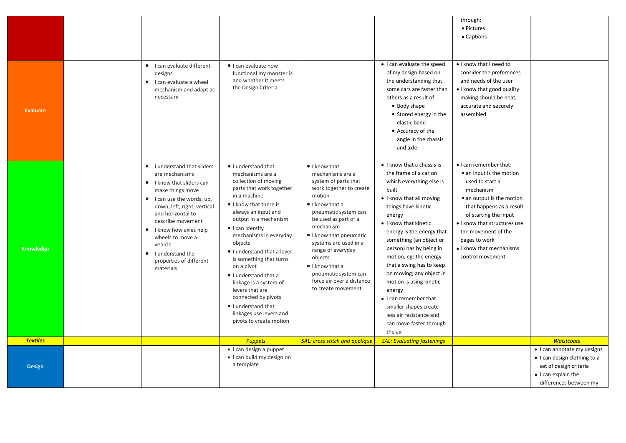|                 |                   |                                                           |                                                  |                                                 |                                   | through:                               |                              |
|-----------------|-------------------|-----------------------------------------------------------|--------------------------------------------------|-------------------------------------------------|-----------------------------------|----------------------------------------|------------------------------|
|                 |                   |                                                           |                                                  |                                                 |                                   | • Pictures                             |                              |
|                 |                   |                                                           |                                                  |                                                 |                                   | • Captions                             |                              |
|                 |                   |                                                           |                                                  |                                                 |                                   |                                        |                              |
|                 |                   |                                                           |                                                  |                                                 |                                   |                                        |                              |
|                 |                   | • I can evaluate different                                | • I can evaluate how                             |                                                 | • I can evaluate the speed        | . I know that I need to                |                              |
|                 |                   | designs                                                   | functional my monster is                         |                                                 | of my design based on             | consider the preferences               |                              |
|                 |                   | • I can evaluate a wheel                                  | and whether it meets                             |                                                 | the understanding that            | and needs of the user                  |                              |
|                 |                   | mechanism and adapt as                                    | the Design Criteria                              |                                                 | some cars are faster than         | • I know that good quality             |                              |
|                 |                   | necessary                                                 |                                                  |                                                 | others as a result of:            | making should be neat,                 |                              |
| <b>Evaluate</b> |                   |                                                           |                                                  |                                                 | • Body shape                      | accurate and securely                  |                              |
|                 |                   |                                                           |                                                  |                                                 | • Stored energy in the            | assembled                              |                              |
|                 |                   |                                                           |                                                  |                                                 | elastic band                      |                                        |                              |
|                 |                   |                                                           |                                                  |                                                 | • Accuracy of the                 |                                        |                              |
|                 |                   |                                                           |                                                  |                                                 | angle in the chassis              |                                        |                              |
|                 |                   |                                                           |                                                  |                                                 | and axle                          |                                        |                              |
|                 |                   |                                                           |                                                  |                                                 |                                   |                                        |                              |
|                 |                   | • I understand that sliders                               | · I understand that                              | $\bullet$ I know that                           | • I know that a chassis is        | • I can remember that:                 |                              |
|                 |                   | are mechanisms                                            | mechanisms are a                                 | mechanisms are a                                | the frame of a car on             | • an input is the motion               |                              |
|                 |                   | • I know that sliders can                                 | collection of moving<br>parts that work together | system of parts that<br>work together to create | which everything else is          | used to start a                        |                              |
|                 |                   | make things move                                          | in a machine                                     | motion                                          | built<br>• I know that all moving | mechanism<br>• an output is the motion |                              |
|                 |                   | • I can use the words: up,<br>down, left, right, vertical | I know that there is                             | $\bullet$ I know that a                         | things have kinetic               | that happens as a result               |                              |
|                 | and horizontal to |                                                           | always an input and                              | pneumatic system can                            | energy                            | of starting the input                  |                              |
|                 |                   | describe movement                                         | output in a mechanism                            | be used as part of a                            | • I know that kinetic             | • I know that structures use           |                              |
|                 |                   | I know how axles help                                     | $\bullet$ I can identify                         | mechanism                                       | energy is the energy that         | the movement of the                    |                              |
|                 |                   | wheels to move a                                          | mechanisms in everyday                           | I know that pneumatic                           | something (an object or           | pages to work                          |                              |
| Knowledge       |                   | vehicle                                                   | objects                                          | systems are used in a<br>range of everyday      | person) has by being in           | • I know that mechanisms               |                              |
|                 |                   | • I understand the                                        | I understand that a lever                        | objects                                         | motion, eg: the energy            | control movement                       |                              |
|                 |                   | properties of different                                   | is something that turns<br>on a pivot            | $\bullet$ I know that a                         | that a swing has to keep          |                                        |                              |
|                 |                   | materials                                                 | • I understand that a                            | pneumatic system can                            | on moving; any object in          |                                        |                              |
|                 |                   |                                                           | linkage is a system of                           | force air over a distance                       | motion is using kinetic           |                                        |                              |
|                 |                   |                                                           | levers that are                                  | to create movement                              | energy                            |                                        |                              |
|                 |                   |                                                           | connected by pivots                              |                                                 | • I can remember that             |                                        |                              |
|                 |                   |                                                           | I understand that                                |                                                 | smaller shapes create             |                                        |                              |
|                 |                   |                                                           | linkages use levers and                          |                                                 | less air resistance and           |                                        |                              |
|                 |                   |                                                           | pivots to create motion                          |                                                 | can move faster through           |                                        |                              |
|                 |                   |                                                           |                                                  |                                                 | the air                           |                                        |                              |
| <b>Textiles</b> |                   |                                                           | <b>Puppets</b>                                   | <b>SAL: cross stitch and applique</b>           | <b>SAL: Evaluating fastenings</b> |                                        | <b>Waistcoats</b>            |
|                 |                   |                                                           | • I can design a puppet                          |                                                 |                                   |                                        | • I can annotate my designs  |
|                 |                   |                                                           | • I can build my design on<br>a template         |                                                 |                                   |                                        | • I can design clothing to a |
| <b>Design</b>   |                   |                                                           |                                                  |                                                 |                                   |                                        | set of design criteria       |
|                 |                   |                                                           |                                                  |                                                 |                                   |                                        | • I can explain the          |
|                 |                   |                                                           |                                                  |                                                 |                                   |                                        | differences between my       |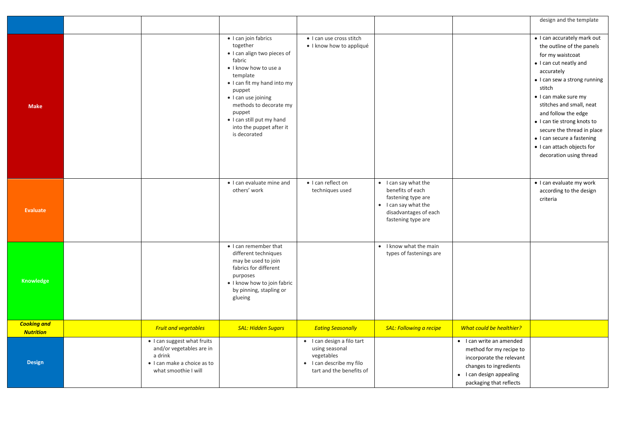|                                        |                                                                                                                           |                                                                                                                                                                                                                                                                                             |                                                                                                                    |                                                                                                                                       |                                                                                                                                                                  | design and the template                                                                                                                                                                                                                                                                                                                                                                       |
|----------------------------------------|---------------------------------------------------------------------------------------------------------------------------|---------------------------------------------------------------------------------------------------------------------------------------------------------------------------------------------------------------------------------------------------------------------------------------------|--------------------------------------------------------------------------------------------------------------------|---------------------------------------------------------------------------------------------------------------------------------------|------------------------------------------------------------------------------------------------------------------------------------------------------------------|-----------------------------------------------------------------------------------------------------------------------------------------------------------------------------------------------------------------------------------------------------------------------------------------------------------------------------------------------------------------------------------------------|
|                                        |                                                                                                                           |                                                                                                                                                                                                                                                                                             |                                                                                                                    |                                                                                                                                       |                                                                                                                                                                  |                                                                                                                                                                                                                                                                                                                                                                                               |
| <b>Make</b>                            |                                                                                                                           | · I can join fabrics<br>together<br>· I can align two pieces of<br>fabric<br>• I know how to use a<br>template<br>• I can fit my hand into my<br>puppet<br>• I can use joining<br>methods to decorate my<br>puppet<br>· I can still put my hand<br>into the puppet after it<br>is decorated | · I can use cross stitch<br>· I know how to appliqué                                                               |                                                                                                                                       |                                                                                                                                                                  | · I can accurately mark out<br>the outline of the panels<br>for my waistcoat<br>• I can cut neatly and<br>accurately<br>• I can sew a strong running<br>stitch<br>• I can make sure my<br>stitches and small, neat<br>and follow the edge<br>• I can tie strong knots to<br>secure the thread in place<br>• I can secure a fastening<br>• I can attach objects for<br>decoration using thread |
| <b>Evaluate</b>                        |                                                                                                                           | • I can evaluate mine and<br>others' work                                                                                                                                                                                                                                                   | · I can reflect on<br>techniques used                                                                              | • I can say what the<br>benefits of each<br>fastening type are<br>• I can say what the<br>disadvantages of each<br>fastening type are |                                                                                                                                                                  | · I can evaluate my work<br>according to the design<br>criteria                                                                                                                                                                                                                                                                                                                               |
| Knowledge                              |                                                                                                                           | • I can remember that<br>different techniques<br>may be used to join<br>fabrics for different<br>purposes<br>· I know how to join fabric<br>by pinning, stapling or<br>glueing                                                                                                              |                                                                                                                    | • I know what the main<br>types of fastenings are                                                                                     |                                                                                                                                                                  |                                                                                                                                                                                                                                                                                                                                                                                               |
| <b>Cooking and</b><br><b>Nutrition</b> | <b>Fruit and vegetables</b>                                                                                               | <b>SAL: Hidden Sugars</b>                                                                                                                                                                                                                                                                   | <b>Eating Seasonally</b>                                                                                           | <b>SAL: Following a recipe</b>                                                                                                        | What could be healthier?                                                                                                                                         |                                                                                                                                                                                                                                                                                                                                                                                               |
| <b>Design</b>                          | · I can suggest what fruits<br>and/or vegetables are in<br>a drink<br>· I can make a choice as to<br>what smoothie I will |                                                                                                                                                                                                                                                                                             | · I can design a filo tart<br>using seasonal<br>vegetables<br>• I can describe my filo<br>tart and the benefits of |                                                                                                                                       | • I can write an amended<br>method for my recipe to<br>incorporate the relevant<br>changes to ingredients<br>• I can design appealing<br>packaging that reflects |                                                                                                                                                                                                                                                                                                                                                                                               |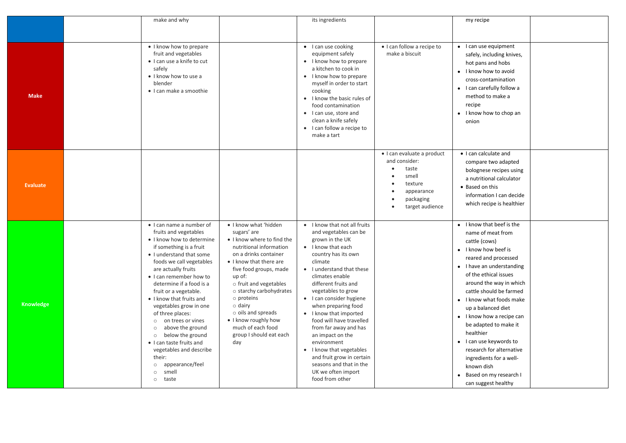|                 | make and why                                                                                                                                                                                                                                                                                                                                                                                                                                                                                                                                                                            |                                                                                                                                                                                                                                                                                                                                                                                            | its ingredients                                                                                                                                                                                                                                                                                                                                                                                                                                                                                                                  |                                                                                                                                     | my recipe                                                                                                                                                                                                                                                                                                                                                                                                                                                                                         |  |
|-----------------|-----------------------------------------------------------------------------------------------------------------------------------------------------------------------------------------------------------------------------------------------------------------------------------------------------------------------------------------------------------------------------------------------------------------------------------------------------------------------------------------------------------------------------------------------------------------------------------------|--------------------------------------------------------------------------------------------------------------------------------------------------------------------------------------------------------------------------------------------------------------------------------------------------------------------------------------------------------------------------------------------|----------------------------------------------------------------------------------------------------------------------------------------------------------------------------------------------------------------------------------------------------------------------------------------------------------------------------------------------------------------------------------------------------------------------------------------------------------------------------------------------------------------------------------|-------------------------------------------------------------------------------------------------------------------------------------|---------------------------------------------------------------------------------------------------------------------------------------------------------------------------------------------------------------------------------------------------------------------------------------------------------------------------------------------------------------------------------------------------------------------------------------------------------------------------------------------------|--|
|                 |                                                                                                                                                                                                                                                                                                                                                                                                                                                                                                                                                                                         |                                                                                                                                                                                                                                                                                                                                                                                            |                                                                                                                                                                                                                                                                                                                                                                                                                                                                                                                                  |                                                                                                                                     |                                                                                                                                                                                                                                                                                                                                                                                                                                                                                                   |  |
|                 |                                                                                                                                                                                                                                                                                                                                                                                                                                                                                                                                                                                         |                                                                                                                                                                                                                                                                                                                                                                                            |                                                                                                                                                                                                                                                                                                                                                                                                                                                                                                                                  |                                                                                                                                     |                                                                                                                                                                                                                                                                                                                                                                                                                                                                                                   |  |
| <b>Make</b>     | • I know how to prepare<br>fruit and vegetables<br>· I can use a knife to cut<br>safely<br>• I know how to use a<br>blender<br>· I can make a smoothie                                                                                                                                                                                                                                                                                                                                                                                                                                  |                                                                                                                                                                                                                                                                                                                                                                                            | • I can use cooking<br>equipment safely<br>• I know how to prepare<br>a kitchen to cook in<br>• I know how to prepare<br>myself in order to start<br>cooking<br>• I know the basic rules of<br>food contamination<br>• I can use, store and<br>clean a knife safely<br>• I can follow a recipe to<br>make a tart                                                                                                                                                                                                                 | · I can follow a recipe to<br>make a biscuit                                                                                        | • I can use equipment<br>safely, including knives,<br>hot pans and hobs<br>• I know how to avoid<br>cross-contamination<br>• I can carefully follow a<br>method to make a<br>recipe<br>$\bullet$ I know how to chop an<br>onion                                                                                                                                                                                                                                                                   |  |
| <b>Evaluate</b> |                                                                                                                                                                                                                                                                                                                                                                                                                                                                                                                                                                                         |                                                                                                                                                                                                                                                                                                                                                                                            |                                                                                                                                                                                                                                                                                                                                                                                                                                                                                                                                  | · I can evaluate a product<br>and consider:<br>taste<br>smell<br>$\bullet$<br>texture<br>appearance<br>packaging<br>target audience | • I can calculate and<br>compare two adapted<br>bolognese recipes using<br>a nutritional calculator<br>• Based on this<br>information I can decide<br>which recipe is healthier                                                                                                                                                                                                                                                                                                                   |  |
| Knowledge       | • I can name a number of<br>fruits and vegetables<br>• I know how to determine<br>if something is a fruit<br>• I understand that some<br>foods we call vegetables<br>are actually fruits<br>• I can remember how to<br>determine if a food is a<br>fruit or a vegetable.<br>• I know that fruits and<br>vegetables grow in one<br>of three places:<br>on trees or vines<br>$\circ$<br>above the ground<br>$\circ$<br>below the ground<br>$\circ$<br>• I can taste fruits and<br>vegetables and describe<br>their:<br>appearance/feel<br>$\circ$<br>smell<br>$\circ$<br>taste<br>$\circ$ | • I know what 'hidden<br>sugars' are<br>• I know where to find the<br>nutritional information<br>on a drinks container<br>• I know that there are<br>five food groups, made<br>up of:<br>o fruit and vegetables<br>o starchy carbohydrates<br>$\circ$ proteins<br>$\circ$ dairy<br>$\circ$ oils and spreads<br>• I know roughly how<br>much of each food<br>group I should eat each<br>day | • I know that not all fruits<br>and vegetables can be<br>grown in the UK<br>• I know that each<br>country has its own<br>climate<br>• I understand that these<br>climates enable<br>different fruits and<br>vegetables to grow<br>• I can consider hygiene<br>when preparing food<br>• I know that imported<br>food will have travelled<br>from far away and has<br>an impact on the<br>environment<br>• I know that vegetables<br>and fruit grow in certain<br>seasons and that in the<br>UK we often import<br>food from other |                                                                                                                                     | • I know that beef is the<br>name of meat from<br>cattle (cows)<br>• I know how beef is<br>reared and processed<br>• I have an understanding<br>of the ethical issues<br>around the way in which<br>cattle should be farmed<br>• I know what foods make<br>up a balanced diet<br>• I know how a recipe can<br>be adapted to make it<br>healthier<br>• I can use keywords to<br>research for alternative<br>ingredients for a well-<br>known dish<br>Based on my research I<br>can suggest healthy |  |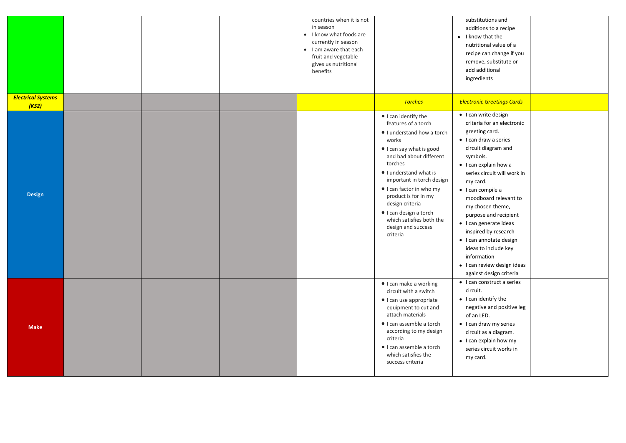|                                    |  | countries when it is not<br>in season<br>• I know what foods are<br>currently in season<br>• I am aware that each<br>fruit and vegetable<br>gives us nutritional<br>benefits |                                                                                                                                                                                                                                                                                                                                                                        | substitutions and<br>additions to a recipe<br>• I know that the<br>nutritional value of a<br>recipe can change if you<br>remove, substitute or<br>add additional<br>ingredients                                                                                                                                                                                                                                                                                                               |  |
|------------------------------------|--|------------------------------------------------------------------------------------------------------------------------------------------------------------------------------|------------------------------------------------------------------------------------------------------------------------------------------------------------------------------------------------------------------------------------------------------------------------------------------------------------------------------------------------------------------------|-----------------------------------------------------------------------------------------------------------------------------------------------------------------------------------------------------------------------------------------------------------------------------------------------------------------------------------------------------------------------------------------------------------------------------------------------------------------------------------------------|--|
| <b>Electrical Systems</b><br>(KS2) |  |                                                                                                                                                                              | <b>Torches</b>                                                                                                                                                                                                                                                                                                                                                         | <b>Electronic Greetings Cards</b>                                                                                                                                                                                                                                                                                                                                                                                                                                                             |  |
| <b>Design</b>                      |  |                                                                                                                                                                              | ● I can identify the<br>features of a torch<br>I understand how a torch<br>works<br>• I can say what is good<br>and bad about different<br>torches<br>I understand what is<br>important in torch design<br>• I can factor in who my<br>product is for in my<br>design criteria<br>· I can design a torch<br>which satisfies both the<br>design and success<br>criteria | • I can write design<br>criteria for an electronic<br>greeting card.<br>$\bullet$ I can draw a series<br>circuit diagram and<br>symbols.<br>• I can explain how a<br>series circuit will work in<br>my card.<br>$\bullet$ I can compile a<br>moodboard relevant to<br>my chosen theme,<br>purpose and recipient<br>· I can generate ideas<br>inspired by research<br>· I can annotate design<br>ideas to include key<br>information<br>• I can review design ideas<br>against design criteria |  |
| <b>Make</b>                        |  |                                                                                                                                                                              | · I can make a working<br>circuit with a switch<br>· I can use appropriate<br>equipment to cut and<br>attach materials<br>· I can assemble a torch<br>according to my design<br>criteria<br>· I can assemble a torch<br>which satisfies the<br>success criteria                                                                                                        | • I can construct a series<br>circuit.<br>$\bullet$ I can identify the<br>negative and positive leg<br>of an LED.<br>• I can draw my series<br>circuit as a diagram.<br>• I can explain how my<br>series circuit works in<br>my card.                                                                                                                                                                                                                                                         |  |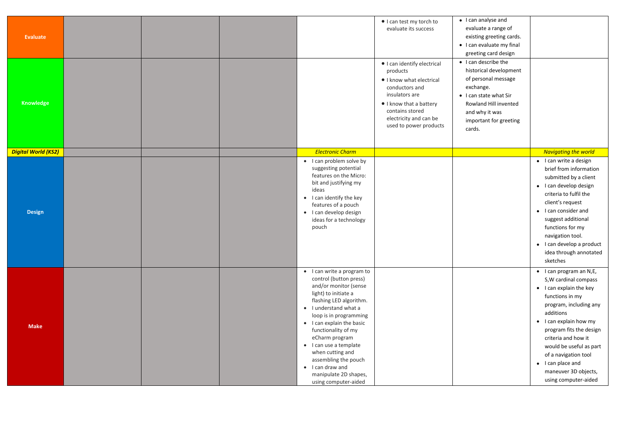| Evaluate<br>Knowledge      |  |                                                                                                                                                                                                                                                                                                                                                                                                      | • I can test my torch to<br>evaluate its success<br>· I can identify electrical<br>products<br>I know what electrical<br>conductors and<br>insulators are<br>I know that a battery<br>contains stored<br>electricity and can be<br>used to power products | • I can analyse and<br>evaluate a range of<br>existing greeting cards.<br>• I can evaluate my final<br>greeting card design<br>• I can describe the<br>historical development<br>of personal message<br>exchange.<br>• I can state what Sir<br>Rowland Hill invented<br>and why it was<br>important for greeting<br>cards. |                                                                                                                                                                                                                                                                                                                                                                   |
|----------------------------|--|------------------------------------------------------------------------------------------------------------------------------------------------------------------------------------------------------------------------------------------------------------------------------------------------------------------------------------------------------------------------------------------------------|-----------------------------------------------------------------------------------------------------------------------------------------------------------------------------------------------------------------------------------------------------------|----------------------------------------------------------------------------------------------------------------------------------------------------------------------------------------------------------------------------------------------------------------------------------------------------------------------------|-------------------------------------------------------------------------------------------------------------------------------------------------------------------------------------------------------------------------------------------------------------------------------------------------------------------------------------------------------------------|
| <b>Digital World (KS2)</b> |  | <b>Electronic Charm</b>                                                                                                                                                                                                                                                                                                                                                                              |                                                                                                                                                                                                                                                           |                                                                                                                                                                                                                                                                                                                            | <b>Navigating the world</b>                                                                                                                                                                                                                                                                                                                                       |
| <b>Design</b>              |  | • I can problem solve by<br>suggesting potential<br>features on the Micro:<br>bit and justifying my<br>ideas<br>• I can identify the key<br>features of a pouch<br>• I can develop design<br>ideas for a technology<br>pouch                                                                                                                                                                         |                                                                                                                                                                                                                                                           |                                                                                                                                                                                                                                                                                                                            | • I can write a design<br>brief from information<br>submitted by a client<br>• I can develop design<br>criteria to fulfil the<br>client's request<br>• I can consider and<br>suggest additional<br>functions for my<br>navigation tool.<br>• I can develop a product<br>idea through annotated<br>sketches                                                        |
| <b>Make</b>                |  | • I can write a program to<br>control (button press)<br>and/or monitor (sense<br>light) to initiate a<br>flashing LED algorithm.<br>• I understand what a<br>loop is in programming<br>• I can explain the basic<br>functionality of my<br>eCharm program<br>• I can use a template<br>when cutting and<br>assembling the pouch<br>• I can draw and<br>manipulate 2D shapes,<br>using computer-aided |                                                                                                                                                                                                                                                           |                                                                                                                                                                                                                                                                                                                            | $\bullet$ I can program an N,E,<br>S, W cardinal compass<br>• I can explain the key<br>functions in my<br>program, including any<br>additions<br>$\bullet$ I can explain how my<br>program fits the design<br>criteria and how it<br>would be useful as part<br>of a navigation tool<br>$\bullet$ I can place and<br>maneuver 3D objects,<br>using computer-aided |